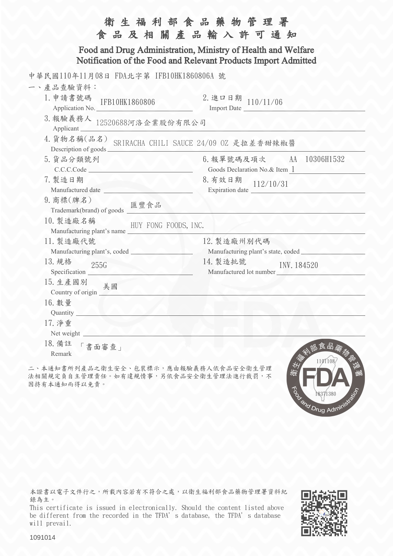| 衛生福利部食品藥物管理署<br>食品及相關產品輸入許可通知<br>Food and Drug Administration, Ministry of Health and Welfare<br>Notification of the Food and Relevant Products Import Admitted   |                                                                                                                                                       |  |
|-------------------------------------------------------------------------------------------------------------------------------------------------------------------|-------------------------------------------------------------------------------------------------------------------------------------------------------|--|
|                                                                                                                                                                   |                                                                                                                                                       |  |
| 5. 貨品分類號列<br>C.C.C.Code<br>7. 製造日期<br>Manufactured date Manufactured date<br>9. 商標(牌名)<br>匯豐食品<br>Trademark(brand) of goods $\frac{1}{2}$                         | 6. 報單號碼及項次 AA 10306H1532<br>Goods Declaration No.& Item 1<br>8. 有效日期<br>112/10/31<br>Expiration date $\frac{1}{\sqrt{1-\frac{1}{2}}\cdot\frac{1}{2}}$ |  |
| 10. 製造廠名稱<br>HUY FONG FOODS, INC.<br>Manufacturing plant's name<br>11. 製造廠代號<br>13. 規格<br>255G<br>Specification<br>15. 生產國別<br>美國<br>Country of origin $\sqrt{2}$ | 12. 製造廠州別代碼<br>Manufacturing plant's state, coded<br>14. 製造批號<br>INV. 184520<br>Manufactured lot number                                               |  |
| 16. 數量<br>Quantity<br>17. 净重<br>Net weight<br>18. 備註<br>「書面審查」<br>Remark                                                                                          | 食品藥<br>1101108                                                                                                                                        |  |

二、本通知書所列產品之衛生安全、包裝標示,應由報驗義務人依食品安全衛生管理 法相關規定負自主管理責任。如有違規情事,另依食品安全衛生管理法進行裁罰,不 因持有本通知而得以免責。

本證書以電子文件行之,所載內容若有不符合之處,以衛生福利部食品藥物管理署資料紀 錄為主。

This certificate is issued in electronically. Should the content listed above be different from the recorded in the TFDA's database, the TFDA's database will prevail.



To diamond Drug Administration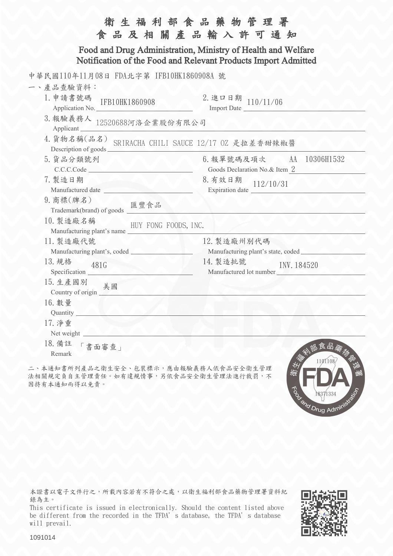|                                                                                                                                                                                                                  | 衛生福利部食品藥物管理署<br>食品及相關產品輸入許可通知                                                                           |  |
|------------------------------------------------------------------------------------------------------------------------------------------------------------------------------------------------------------------|---------------------------------------------------------------------------------------------------------|--|
| Food and Drug Administration, Ministry of Health and Welfare<br>Notification of the Food and Relevant Products Import Admitted                                                                                   |                                                                                                         |  |
| 中華民國110年11月08日 FDA北字第 IFB10HK1860908A 號<br>一、產品查驗資料:<br>1. 申請書號碼<br>IFB10HK1860908<br>Application No.<br>3. 報驗義務人 12520688河洛企業股份有限公司<br>Applicant_<br>4. 貨物名稱(品名) SRIRACHA CHILI SAUCE 12/17 0Z 是拉差香甜辣椒醬         | 2. 進口日期 $110/11/06$<br>Import Date                                                                      |  |
| Description of goods $\frac{3}{2}$<br>5. 貨品分類號列<br>C.C.C.Code<br>7. 製造日期<br>Manufactured date Manufactured date<br>9. 商標(牌名)<br>匯豐食品<br>Trademark(brand) of goods __<br>10. 製造廠名稱                                | 6. 報單號碼及項次 AA 10306H1532<br>Goods Declaration No.& Item 2<br>8. 有效日期<br>112/10/31                       |  |
| HUY FONG FOODS, INC.<br>Manufacturing plant's name<br>11. 製造廠代號<br>13. 規格<br>481G<br>Specification<br>15. 生產國別<br>美國<br>Country of origin <b>Country</b><br>16. 數量<br>Quantity<br>17. 净重<br>Net weight<br>18. 備註 | 12. 製造廠州別代碼<br>Manufacturing plant's state, coded<br>14. 製造批號<br>INV. 184520<br>Manufactured lot number |  |
| 「書面審查」<br>Remark                                                                                                                                                                                                 | 食品藥<br>1101108                                                                                          |  |

二、本通知書所列產品之衛生安全、包裝標示,應由報驗義務人依食品安全衛生管理 法相關規定負自主管理責任。如有違規情事,另依食品安全衛生管理法進行裁罰,不 因持有本通知而得以免責。

本證書以電子文件行之,所載內容若有不符合之處,以衛生福利部食品藥物管理署資料紀 錄為主。

This certificate is issued in electronically. Should the content listed above be different from the recorded in the TFDA's database, the TFDA's database will prevail.



To or 18871334